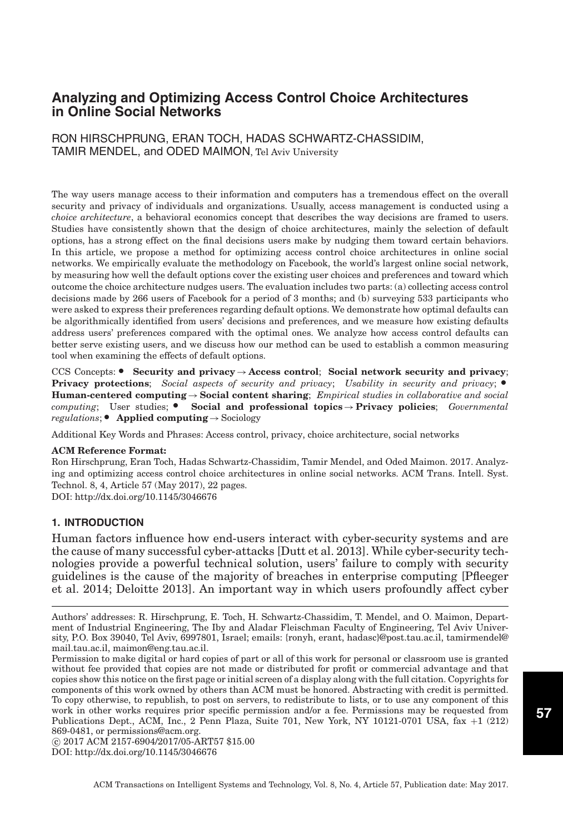RON HIRSCHPRUNG, ERAN TOCH, HADAS SCHWARTZ-CHASSIDIM, TAMIR MENDEL, and ODED MAIMON, Tel Aviv University

The way users manage access to their information and computers has a tremendous effect on the overall security and privacy of individuals and organizations. Usually, access management is conducted using a *choice architecture*, a behavioral economics concept that describes the way decisions are framed to users. Studies have consistently shown that the design of choice architectures, mainly the selection of default options, has a strong effect on the final decisions users make by nudging them toward certain behaviors. In this article, we propose a method for optimizing access control choice architectures in online social networks. We empirically evaluate the methodology on Facebook, the world's largest online social network, by measuring how well the default options cover the existing user choices and preferences and toward which outcome the choice architecture nudges users. The evaluation includes two parts: (a) collecting access control decisions made by 266 users of Facebook for a period of 3 months; and (b) surveying 533 participants who were asked to express their preferences regarding default options. We demonstrate how optimal defaults can be algorithmically identified from users' decisions and preferences, and we measure how existing defaults address users' preferences compared with the optimal ones. We analyze how access control defaults can better serve existing users, and we discuss how our method can be used to establish a common measuring tool when examining the effects of default options.

CCS Concepts: - **Security and privacy**→**Access control**; **Social network security and privacy**; **Privacy protections**; *Social aspects of security and privacy*; *Usability in security and privacy*; • **Human-centered computing**→**Social content sharing**; *Empirical studies in collaborative and social* computing; User studies;  $\bullet$  Social and professional topics→**Privacy policies**; *Governmental regulations*; - **Applied computing**→Sociology

Additional Key Words and Phrases: Access control, privacy, choice architecture, social networks

#### **ACM Reference Format:**

Ron Hirschprung, Eran Toch, Hadas Schwartz-Chassidim, Tamir Mendel, and Oded Maimon. 2017. Analyzing and optimizing access control choice architectures in online social networks. ACM Trans. Intell. Syst. Technol. 8, 4, Article 57 (May 2017), 22 pages.

DOI:<http://dx.doi.org/10.1145/3046676>

### **1. INTRODUCTION**

Human factors influence how end-users interact with cyber-security systems and are the cause of many successful cyber-attacks [\[Dutt et al. 2013\]](#page-19-0). While cyber-security technologies provide a powerful technical solution, users' failure to comply with security guidelines is the cause of the majority of breaches in enterprise computing [Pfleeger et al. 2014; [Deloitte 2013\]](#page-19-1). An important way in which users profoundly affect cyber

-c 2017 ACM 2157-6904/2017/05-ART57 \$15.00 DOI:<http://dx.doi.org/10.1145/3046676>

Authors' addresses: R. Hirschprung, E. Toch, H. Schwartz-Chassidim, T. Mendel, and O. Maimon, Department of Industrial Engineering, The Iby and Aladar Fleischman Faculty of Engineering, Tel Aviv University, P.O. Box 39040, Tel Aviv, 6997801, Israel; emails: {ronyh, erant, hadasc}@post.tau.ac.il, tamirmendel@ mail.tau.ac.il, maimon@eng.tau.ac.il.

Permission to make digital or hard copies of part or all of this work for personal or classroom use is granted without fee provided that copies are not made or distributed for profit or commercial advantage and that copies show this notice on the first page or initial screen of a display along with the full citation. Copyrights for components of this work owned by others than ACM must be honored. Abstracting with credit is permitted. To copy otherwise, to republish, to post on servers, to redistribute to lists, or to use any component of this work in other works requires prior specific permission and/or a fee. Permissions may be requested from Publications Dept., ACM, Inc., 2 Penn Plaza, Suite 701, New York, NY 10121-0701 USA, fax +1 (212) 869-0481, or permissions@acm.org.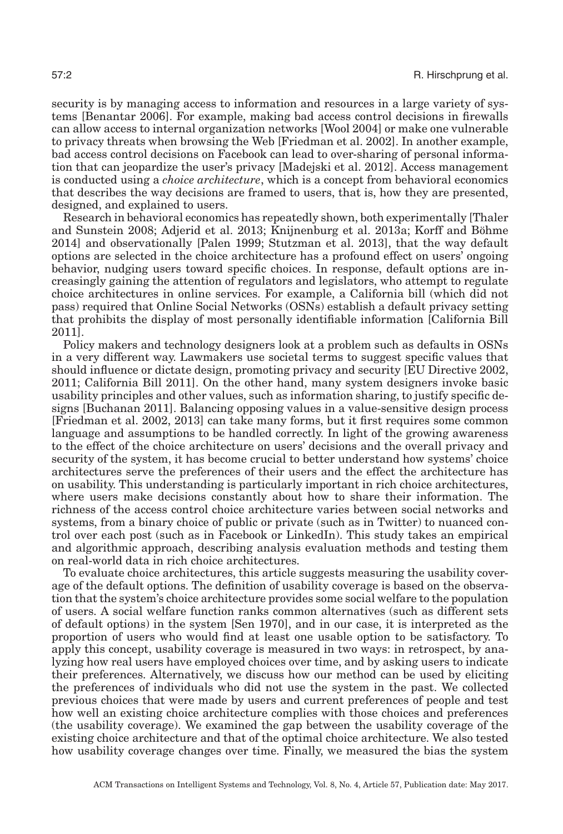security is by managing access to information and resources in a large variety of systems [\[Benantar 2006\]](#page-18-0). For example, making bad access control decisions in firewalls can allow access to internal organization networks [\[Wool 2004\]](#page-21-0) or make one vulnerable to privacy threats when browsing the Web [\[Friedman et al. 2002\]](#page-19-2). In another example, bad access control decisions on Facebook can lead to over-sharing of personal information that can jeopardize the user's privacy [\[Madejski et al. 2012\]](#page-20-0). Access management is conducted using a *choice architecture*, which is a concept from behavioral economics that describes the way decisions are framed to users, that is, how they are presented, designed, and explained to users.

Research in behavioral economics has repeatedly shown, both experimentally [\[Thaler](#page-20-1) [and Sunstein 2008;](#page-20-1) [Adjerid et al. 2013;](#page-18-1) [Knijnenburg et al. 2013a](#page-19-3); [Korff and Bohme](#page-19-4) ¨ [2014\]](#page-19-4) and observationally [\[Palen 1999;](#page-20-2) [Stutzman et al. 2013\]](#page-20-3), that the way default options are selected in the choice architecture has a profound effect on users' ongoing behavior, nudging users toward specific choices. In response, default options are increasingly gaining the attention of regulators and legislators, who attempt to regulate choice architectures in online services. For example, a California bill (which did not pass) required that Online Social Networks (OSNs) establish a default privacy setting that prohibits the display of most personally identifiable information [California [Bill](#page-19-5) [2011\]](#page-19-5).

Policy makers and technology designers look at a problem such as defaults in OSNs in a very different way. Lawmakers use societal terms to suggest specific values that should influence or dictate design, promoting privacy and security [EU [Directive 2002,](#page-19-6) 2011; California [Bill 2011\]](#page-19-5). On the other hand, many system designers invoke basic usability principles and other values, such as information sharing, to justify specific designs [\[Buchanan 2011\]](#page-18-2). Balancing opposing values in a value-sensitive design process [\[Friedman et al. 2002, 2013\]](#page-19-7) can take many forms, but it first requires some common language and assumptions to be handled correctly. In light of the growing awareness to the effect of the choice architecture on users' decisions and the overall privacy and security of the system, it has become crucial to better understand how systems' choice architectures serve the preferences of their users and the effect the architecture has on usability. This understanding is particularly important in rich choice architectures, where users make decisions constantly about how to share their information. The richness of the access control choice architecture varies between social networks and systems, from a binary choice of public or private (such as in Twitter) to nuanced control over each post (such as in Facebook or LinkedIn). This study takes an empirical and algorithmic approach, describing analysis evaluation methods and testing them on real-world data in rich choice architectures.

To evaluate choice architectures, this article suggests measuring the usability coverage of the default options. The definition of usability coverage is based on the observation that the system's choice architecture provides some social welfare to the population of users. A social welfare function ranks common alternatives (such as different sets of default options) in the system [\[Sen 1970\]](#page-20-2), and in our case, it is interpreted as the proportion of users who would find at least one usable option to be satisfactory. To apply this concept, usability coverage is measured in two ways: in retrospect, by analyzing how real users have employed choices over time, and by asking users to indicate their preferences. Alternatively, we discuss how our method can be used by eliciting the preferences of individuals who did not use the system in the past. We collected previous choices that were made by users and current preferences of people and test how well an existing choice architecture complies with those choices and preferences (the usability coverage). We examined the gap between the usability coverage of the existing choice architecture and that of the optimal choice architecture. We also tested how usability coverage changes over time. Finally, we measured the bias the system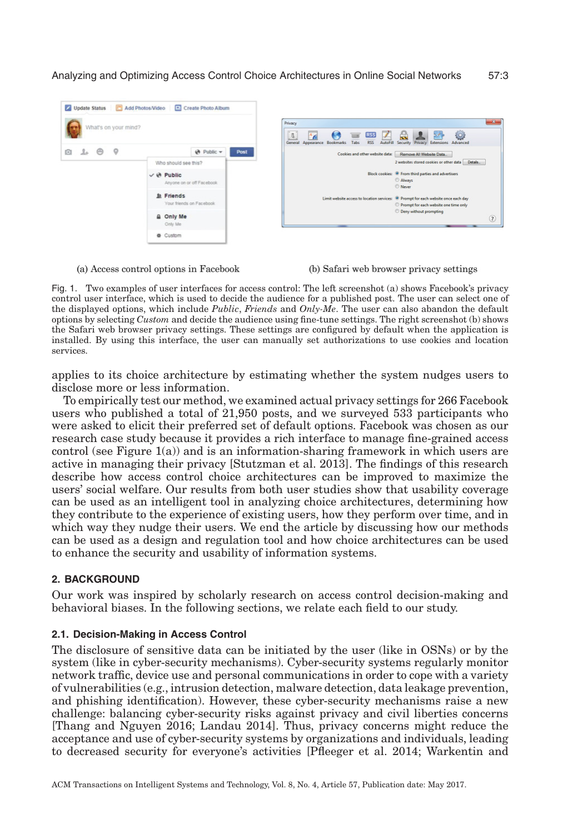<span id="page-2-0"></span>

(a) Access control options in Facebook

#### (b) Safari web browser privacy settings

Fig. 1. Two examples of user interfaces for access control: The left screenshot (a) shows Facebook's privacy control user interface, which is used to decide the audience for a published post. The user can select one of the displayed options, which include *Public*, *Friends* and *Only-Me*. The user can also abandon the default options by selecting *Custom* and decide the audience using fine-tune settings. The right screenshot (b) shows the Safari web browser privacy settings. These settings are configured by default when the application is installed. By using this interface, the user can manually set authorizations to use cookies and location services.

applies to its choice architecture by estimating whether the system nudges users to disclose more or less information.

To empirically test our method, we examined actual privacy settings for 266 Facebook users who published a total of 21,950 posts, and we surveyed 533 participants who were asked to elicit their preferred set of default options. Facebook was chosen as our research case study because it provides a rich interface to manage fine-grained access control (see Figure [1\(a\)\)](#page-2-0) and is an information-sharing framework in which users are active in managing their privacy [\[Stutzman et al. 2013\]](#page-20-3). The findings of this research describe how access control choice architectures can be improved to maximize the users' social welfare. Our results from both user studies show that usability coverage can be used as an intelligent tool in analyzing choice architectures, determining how they contribute to the experience of existing users, how they perform over time, and in which way they nudge their users. We end the article by discussing how our methods can be used as a design and regulation tool and how choice architectures can be used to enhance the security and usability of information systems.

#### **2. BACKGROUND**

Our work was inspired by scholarly research on access control decision-making and behavioral biases. In the following sections, we relate each field to our study.

#### **2.1. Decision-Making in Access Control**

The disclosure of sensitive data can be initiated by the user (like in OSNs) or by the system (like in cyber-security mechanisms). Cyber-security systems regularly monitor network traffic, device use and personal communications in order to cope with a variety of vulnerabilities (e.g., intrusion detection, malware detection, data leakage prevention, and phishing identification). However, these cyber-security mechanisms raise a new challenge: balancing cyber-security risks against privacy and civil liberties concerns [\[Thang and Nguyen 2016;](#page-20-4) [Landau 2014\]](#page-20-5). Thus, privacy concerns might reduce the acceptance and use of cyber-security systems by organizations and individuals, leading to decreased security for everyone's activities [\[Pfleeger et al. 2014;](#page-20-6) Warkentin and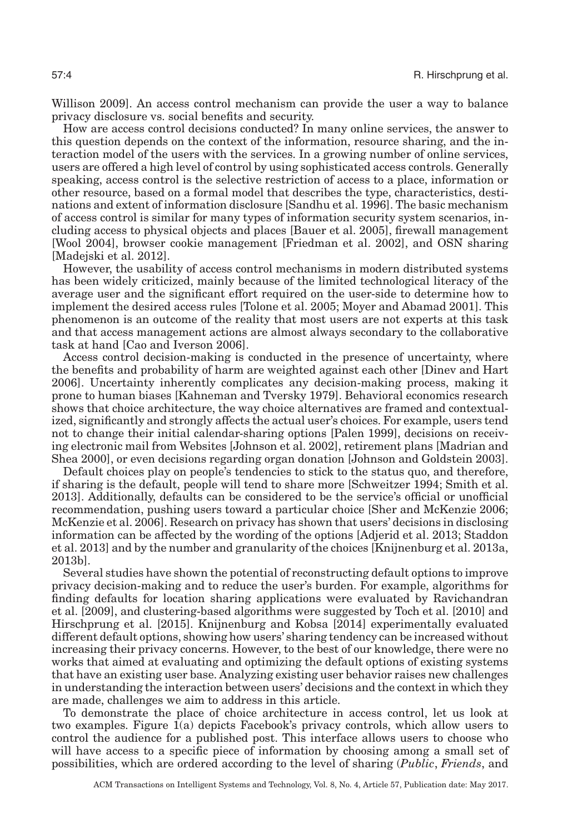Willison 2009]. An access control mechanism can provide the user a way to balance privacy disclosure vs. social benefits and security.

How are access control decisions conducted? In many online services, the answer to this question depends on the context of the information, resource sharing, and the interaction model of the users with the services. In a growing number of online services, users are offered a high level of control by using sophisticated access controls. Generally speaking, access control is the selective restriction of access to a place, information or other resource, based on a formal model that describes the type, characteristics, destinations and extent of information disclosure [\[Sandhu et al. 1996\]](#page-20-7). The basic mechanism of access control is similar for many types of information security system scenarios, including access to physical objects and places [\[Bauer et al. 2005\]](#page-18-3), firewall management [\[Wool 2004\]](#page-21-0), browser cookie management [\[Friedman et al. 2002\]](#page-19-2), and OSN sharing [\[Madejski et al. 2012\]](#page-20-0).

However, the usability of access control mechanisms in modern distributed systems has been widely criticized, mainly because of the limited technological literacy of the average user and the significant effort required on the user-side to determine how to implement the desired access rules [\[Tolone et al. 2005;](#page-21-2) [Moyer and Abamad 2001\]](#page-20-8). This phenomenon is an outcome of the reality that most users are not experts at this task and that access management actions are almost always secondary to the collaborative task at hand [\[Cao and Iverson 2006\]](#page-19-8).

Access control decision-making is conducted in the presence of uncertainty, where the benefits and probability of harm are weighted against each other [\[Dinev and Hart](#page-19-9) [2006\]](#page-19-9). Uncertainty inherently complicates any decision-making process, making it prone to human biases [\[Kahneman and Tversky 1979\]](#page-19-10). Behavioral economics research shows that choice architecture, the way choice alternatives are framed and contextualized, significantly and strongly affects the actual user's choices. For example, users tend not to change their initial calendar-sharing options [\[Palen 1999\]](#page-20-2), decisions on receiving electronic mail from Websites [\[Johnson et al. 2002\]](#page-19-11), retirement plans [\[Madrian and](#page-20-9) [Shea 2000\]](#page-20-9), or even decisions regarding organ donation [\[Johnson and Goldstein 2003\]](#page-19-12).

Default choices play on people's tendencies to stick to the status quo, and therefore, if sharing is the default, people will tend to share more [\[Schweitzer 1994;](#page-20-10) [Smith et al.](#page-20-11) [2013\]](#page-20-11). Additionally, defaults can be considered to be the service's official or unofficial recommendation, pushing users toward a particular choice [Sher and McKenzie 2006; McKenzie et al. 2006]. Research on privacy has shown that users' decisions in disclosing information can be affected by the wording of the options [\[Adjerid et al. 2013;](#page-18-1) [Staddon](#page-20-12) [et al. 2013\]](#page-20-12) and by the number and granularity of the choices [\[Knijnenburg et al. 2013a,](#page-19-3) 2013b].

Several studies have shown the potential of reconstructing default options to improve privacy decision-making and to reduce the user's burden. For example, algorithms for finding defaults for location sharing applications were evaluated by [Ravichandran](#page-20-13) [et al. \[2009\],](#page-20-13) and clustering-based algorithms were suggested by [Toch et al. \[2010\]](#page-21-3) and [Hirschprung et al. \[2015\].](#page-19-13) [Knijnenburg and Kobsa \[2014\]](#page-19-14) experimentally evaluated different default options, showing how users' sharing tendency can be increased without increasing their privacy concerns. However, to the best of our knowledge, there were no works that aimed at evaluating and optimizing the default options of existing systems that have an existing user base. Analyzing existing user behavior raises new challenges in understanding the interaction between users' decisions and the context in which they are made, challenges we aim to address in this article.

To demonstrate the place of choice architecture in access control, let us look at two examples. Figure [1\(a\)](#page-2-0) depicts Facebook's privacy controls, which allow users to control the audience for a published post. This interface allows users to choose who will have access to a specific piece of information by choosing among a small set of possibilities, which are ordered according to the level of sharing (*Public*, *Friends*, and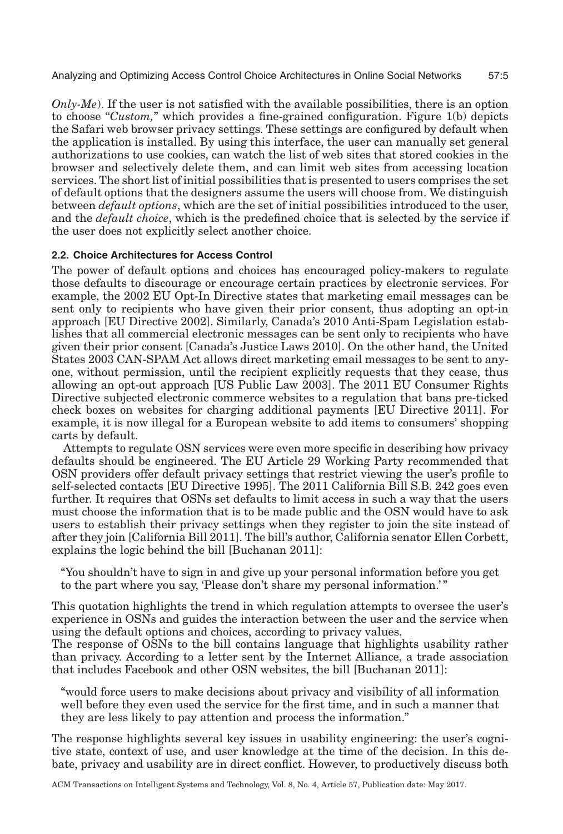*Only-Me*). If the user is not satisfied with the available possibilities, there is an option to choose "*Custom,*" which provides a fine-grained configuration. Figure [1\(b\)](#page-2-0) depicts the Safari web browser privacy settings. These settings are configured by default when the application is installed. By using this interface, the user can manually set general authorizations to use cookies, can watch the list of web sites that stored cookies in the browser and selectively delete them, and can limit web sites from accessing location services. The short list of initial possibilities that is presented to users comprises the set of default options that the designers assume the users will choose from. We distinguish between *default options*, which are the set of initial possibilities introduced to the user, and the *default choice*, which is the predefined choice that is selected by the service if the user does not explicitly select another choice.

## **2.2. Choice Architectures for Access Control**

The power of default options and choices has encouraged policy-makers to regulate those defaults to discourage or encourage certain practices by electronic services. For example, the 2002 EU Opt-In Directive states that marketing email messages can be sent only to recipients who have given their prior consent, thus adopting an opt-in approach [EU [Directive 2002\]](#page-19-6). Similarly, Canada's 2010 Anti-Spam Legislation establishes that all commercial electronic messages can be sent only to recipients who have given their prior consent [\[Canada's Justice Laws 2010\]](#page-19-15). On the other hand, the United States 2003 CAN-SPAM Act allows direct marketing email messages to be sent to anyone, without permission, until the recipient explicitly requests that they cease, thus allowing an opt-out approach [\[US Public Law 2003\]](#page-21-4). The 2011 EU Consumer Rights Directive subjected electronic commerce websites to a regulation that bans pre-ticked check boxes on websites for charging additional payments [EU [Directive 2011\]](#page-19-16). For example, it is now illegal for a European website to add items to consumers' shopping carts by default.

Attempts to regulate OSN services were even more specific in describing how privacy defaults should be engineered. The EU Article 29 Working Party recommended that OSN providers offer default privacy settings that restrict viewing the user's profile to self-selected contacts [EU [Directive 1995\]](#page-19-17). The 2011 California Bill S.B. 242 goes even further. It requires that OSNs set defaults to limit access in such a way that the users must choose the information that is to be made public and the OSN would have to ask users to establish their privacy settings when they register to join the site instead of after they join [California [Bill 2011\]](#page-19-5). The bill's author, California senator Ellen Corbett, explains the logic behind the bill [\[Buchanan 2011\]](#page-18-2):

"You shouldn't have to sign in and give up your personal information before you get to the part where you say, 'Please don't share my personal information.' "

This quotation highlights the trend in which regulation attempts to oversee the user's experience in OSNs and guides the interaction between the user and the service when using the default options and choices, according to privacy values.

The response of OSNs to the bill contains language that highlights usability rather than privacy. According to a letter sent by the Internet Alliance, a trade association that includes Facebook and other OSN websites, the bill [\[Buchanan 2011\]](#page-18-2):

"would force users to make decisions about privacy and visibility of all information well before they even used the service for the first time, and in such a manner that they are less likely to pay attention and process the information."

The response highlights several key issues in usability engineering: the user's cognitive state, context of use, and user knowledge at the time of the decision. In this debate, privacy and usability are in direct conflict. However, to productively discuss both

ACM Transactions on Intelligent Systems and Technology, Vol. 8, No. 4, Article 57, Publication date: May 2017.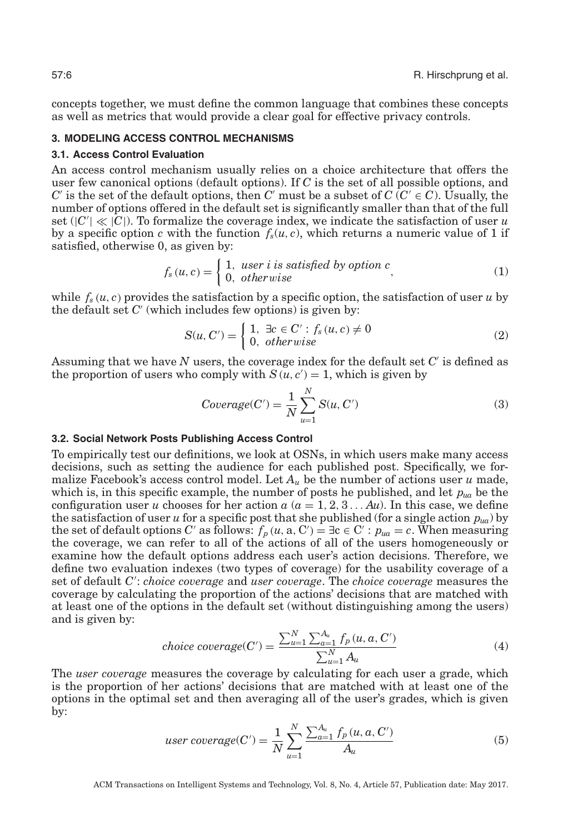concepts together, we must define the common language that combines these concepts as well as metrics that would provide a clear goal for effective privacy controls.

#### **3. MODELING ACCESS CONTROL MECHANISMS**

#### **3.1. Access Control Evaluation**

An access control mechanism usually relies on a choice architecture that offers the user few canonical options (default options). If *C* is the set of all possible options, and *C*' is the set of the default options, then *C*' must be a subset of  $C$  ( $C' \in C$ ). Usually, the number of options offered in the default set is significantly smaller than that of the full set  $(|C'| \ll |C|)$ . To formalize the coverage index, we indicate the satisfaction of user *u* by a specific option *c* with the function  $f_s(u, c)$ , which returns a numeric value of 1 if satisfied, otherwise 0, as given by:

$$
f_s(u, c) = \begin{cases} 1, \text{ user } i \text{ is satisfied by option } c \\ 0, \text{ otherwise} \end{cases}
$$
 (1)

while  $f_s(u, c)$  provides the satisfaction by a specific option, the satisfaction of user *u* by the default set  $C'$  (which includes few options) is given by:

$$
S(u, C') = \begin{cases} 1, & \exists c \in C' : f_s(u, c) \neq 0 \\ 0, & otherwise \end{cases}
$$
 (2)

Assuming that we have *N* users, the coverage index for the default set *C* is defined as the proportion of users who comply with  $S(u, c') = 1$ , which is given by

$$
Coverage(C') = \frac{1}{N} \sum_{u=1}^{N} S(u, C')
$$
\n(3)

#### **3.2. Social Network Posts Publishing Access Control**

To empirically test our definitions, we look at OSNs, in which users make many access decisions, such as setting the audience for each published post. Specifically, we formalize Facebook's access control model. Let  $A_\mu$  be the number of actions user  $\mu$  made, which is, in this specific example, the number of posts he published, and let *pua* be the configuration user *u* chooses for her action  $a (a = 1, 2, 3... A u)$ . In this case, we define the satisfaction of user *u* for a specific post that she published (for a single action  $p_{ua}$ ) by the set of default options *C'* as follows:  $f_p(u, a, C') = \exists c \in C' : p_{ua} = c$ . When measuring the coverage, we can refer to all of the actions of all of the users homogeneously or examine how the default options address each user's action decisions. Therefore, we define two evaluation indexes (two types of coverage) for the usability coverage of a set of default *C* : *choice coverage* and *user coverage*. The *choice coverage* measures the coverage by calculating the proportion of the actions' decisions that are matched with at least one of the options in the default set (without distinguishing among the users) and is given by:

$$
choice\ coverage(C') = \frac{\sum_{u=1}^{N} \sum_{a=1}^{A_u} f_p(u, a, C')}{\sum_{u=1}^{N} A_u}
$$
\n
$$
\tag{4}
$$

The *user coverage* measures the coverage by calculating for each user a grade, which is the proportion of her actions' decisions that are matched with at least one of the options in the optimal set and then averaging all of the user's grades, which is given by:

user coverage(C') = 
$$
\frac{1}{N} \sum_{u=1}^{N} \frac{\sum_{a=1}^{A_u} f_p(u, a, C')}{A_u}
$$
 (5)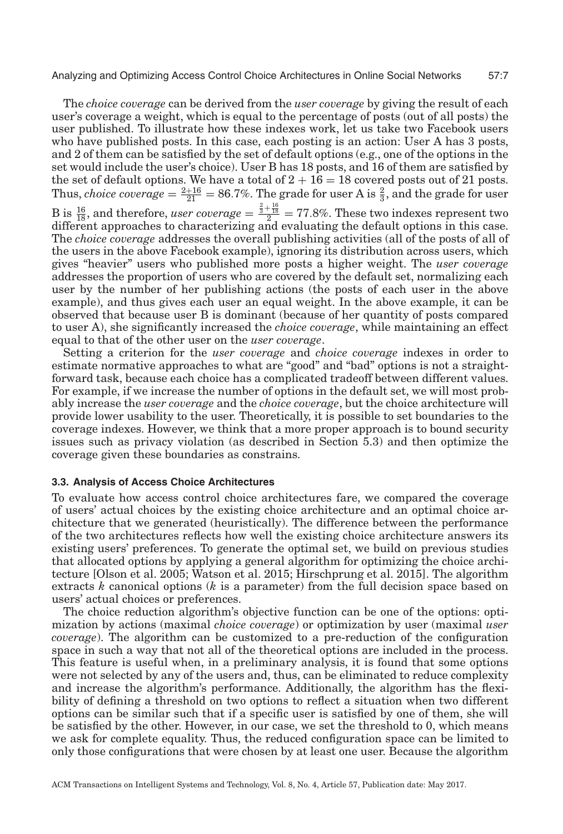The *choice coverage* can be derived from the *user coverage* by giving the result of each user's coverage a weight, which is equal to the percentage of posts (out of all posts) the user published. To illustrate how these indexes work, let us take two Facebook users who have published posts. In this case, each posting is an action: User A has 3 posts, and 2 of them can be satisfied by the set of default options (e.g., one of the options in the set would include the user's choice). User B has 18 posts, and 16 of them are satisfied by the set of default options. We have a total of  $2 + 16 = 18$  covered posts out of 21 posts. Thus, *choice coverage*  $=$   $\frac{2+16}{21}$   $=$  86.7%. The grade for user A is  $\frac{2}{3}$ , and the grade for user B is  $\frac{16}{18}$ , and therefore, *user coverage*  $=$   $\frac{\frac{2}{3} + \frac{16}{18}}{2}$  = 77.8%. These two indexes represent two different approaches to characterizing and evaluating the default options in this case. The *choice coverage* addresses the overall publishing activities (all of the posts of all of the users in the above Facebook example), ignoring its distribution across users, which gives "heavier" users who published more posts a higher weight. The *user coverage* addresses the proportion of users who are covered by the default set, normalizing each user by the number of her publishing actions (the posts of each user in the above example), and thus gives each user an equal weight. In the above example, it can be observed that because user B is dominant (because of her quantity of posts compared to user A), she significantly increased the *choice coverage*, while maintaining an effect equal to that of the other user on the *user coverage*.

Setting a criterion for the *user coverage* and *choice coverage* indexes in order to estimate normative approaches to what are "good" and "bad" options is not a straightforward task, because each choice has a complicated tradeoff between different values. For example, if we increase the number of options in the default set, we will most probably increase the *user coverage* and the *choice coverage*, but the choice architecture will provide lower usability to the user. Theoretically, it is possible to set boundaries to the coverage indexes. However, we think that a more proper approach is to bound security issues such as privacy violation (as described in Section 5.3) and then optimize the coverage given these boundaries as constrains.

#### **3.3. Analysis of Access Choice Architectures**

To evaluate how access control choice architectures fare, we compared the coverage of users' actual choices by the existing choice architecture and an optimal choice architecture that we generated (heuristically). The difference between the performance of the two architectures reflects how well the existing choice architecture answers its existing users' preferences. To generate the optimal set, we build on previous studies that allocated options by applying a general algorithm for optimizing the choice architecture [\[Olson et al. 2005;](#page-20-14) [Watson et al. 2015;](#page-21-5) [Hirschprung et al. 2015\]](#page-19-13). The algorithm extracts *k* canonical options (*k* is a parameter) from the full decision space based on users' actual choices or preferences.

The choice reduction algorithm's objective function can be one of the options: optimization by actions (maximal *choice coverage*) or optimization by user (maximal *user coverage*). The algorithm can be customized to a pre-reduction of the configuration space in such a way that not all of the theoretical options are included in the process. This feature is useful when, in a preliminary analysis, it is found that some options were not selected by any of the users and, thus, can be eliminated to reduce complexity and increase the algorithm's performance. Additionally, the algorithm has the flexibility of defining a threshold on two options to reflect a situation when two different options can be similar such that if a specific user is satisfied by one of them, she will be satisfied by the other. However, in our case, we set the threshold to 0, which means we ask for complete equality. Thus, the reduced configuration space can be limited to only those configurations that were chosen by at least one user. Because the algorithm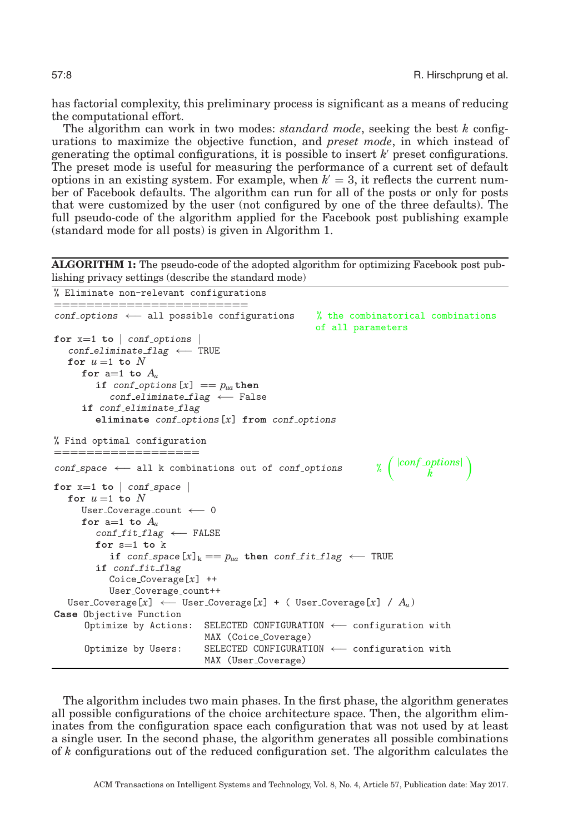has factorial complexity, this preliminary process is significant as a means of reducing the computational effort.

The algorithm can work in two modes: *standard mode*, seeking the best *k* configurations to maximize the objective function, and *preset mode*, in which instead of generating the optimal configurations, it is possible to insert  $k'$  preset configurations. The preset mode is useful for measuring the performance of a current set of default options in an existing system. For example, when  $k' = 3$ , it reflects the current number of Facebook defaults. The algorithm can run for all of the posts or only for posts that were customized by the user (not configured by one of the three defaults). The full pseudo-code of the algorithm applied for the Facebook post publishing example (standard mode for all posts) is given in Algorithm 1.

**ALGORITHM 1:** The pseudo-code of the adopted algorithm for optimizing Facebook post publishing privacy settings (describe the standard mode)

```
% Eliminate non-relevant configurations
========================
conf options ←− all possible configurations % the combinatorical combinations
                                               of all parameters
for x=1 to | conf-options |conf eliminate flag ←− TRUE
  for u = 1 to Nfor a=1 to Au
       if conf-options [x] == p_{ua} then
          conf eliminate flag ←− False
     if conf eliminate flag
       eliminate conf_options[x] from conf_options
% Find optimal configuration
==================
conf_space ← all k combinations out of conf_options
                                                             |conf options|
                                                                   k
                                                                          λ
for x=1 to | conf space |
  for u = 1 to NUser Coverage count ←− 0
     for a=1 to A_uconf fit flag ←− FALSE
       for s=1 to k
          if conf_space [x]_k == p_{ua} then conf_fit_flag ← TRUE
       if conf_fit_flag
         Coice Coverage[x] ++
          User Coverage count++
  User Coverage[x] ←− User Coverage[x] + ( User Coverage[x] / Au )
Case Objective Function
     Optimize by Actions: SELECTED CONFIGURATION ←− configuration with
                          MAX (Coice Coverage)
     Optimize by Users: SELECTED CONFIGURATION ←− configuration with
                          MAX (User Coverage)
```
The algorithm includes two main phases. In the first phase, the algorithm generates all possible configurations of the choice architecture space. Then, the algorithm eliminates from the configuration space each configuration that was not used by at least a single user. In the second phase, the algorithm generates all possible combinations of *k* configurations out of the reduced configuration set. The algorithm calculates the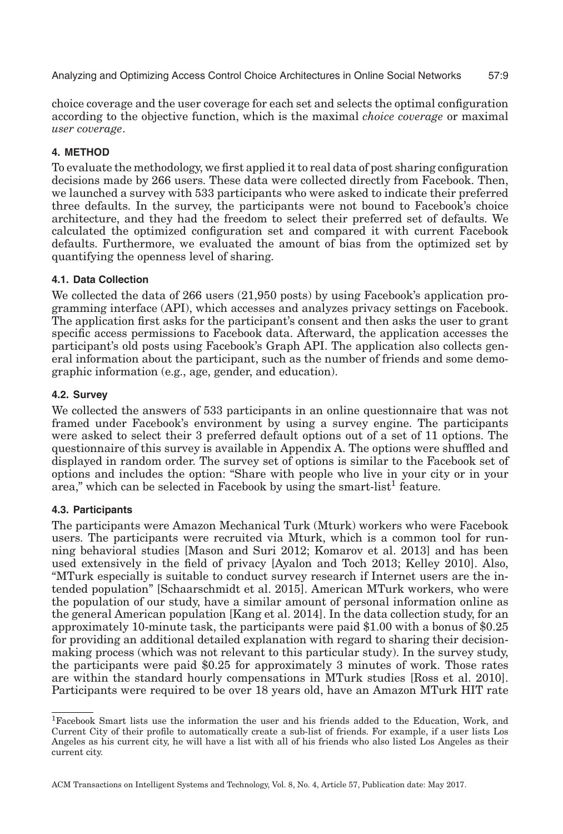choice coverage and the user coverage for each set and selects the optimal configuration according to the objective function, which is the maximal *choice coverage* or maximal *user coverage*.

## **4. METHOD**

To evaluate the methodology, we first applied it to real data of post sharing configuration decisions made by 266 users. These data were collected directly from Facebook. Then, we launched a survey with 533 participants who were asked to indicate their preferred three defaults. In the survey, the participants were not bound to Facebook's choice architecture, and they had the freedom to select their preferred set of defaults. We calculated the optimized configuration set and compared it with current Facebook defaults. Furthermore, we evaluated the amount of bias from the optimized set by quantifying the openness level of sharing.

## **4.1. Data Collection**

We collected the data of 266 users (21,950 posts) by using Facebook's application programming interface (API), which accesses and analyzes privacy settings on Facebook. The application first asks for the participant's consent and then asks the user to grant specific access permissions to Facebook data. Afterward, the application accesses the participant's old posts using Facebook's Graph API. The application also collects general information about the participant, such as the number of friends and some demographic information (e.g., age, gender, and education).

## **4.2. Survey**

We collected the answers of 533 participants in an online questionnaire that was not framed under Facebook's environment by using a survey engine. The participants were asked to select their 3 preferred default options out of a set of 11 options. The questionnaire of this survey is available in Appendix A. The options were shuffled and displayed in random order. The survey set of options is similar to the Facebook set of options and includes the option: "Share with people who live in your city or in your area," which can be selected in Facebook by using the smart-list<sup>[1](#page-8-0)</sup> feature.

#### **4.3. Participants**

The participants were Amazon Mechanical Turk (Mturk) workers who were Facebook users. The participants were recruited via Mturk, which is a common tool for running behavioral studies [\[Mason and Suri 2012;](#page-20-15) [Komarov et al. 2013\]](#page-19-18) and has been used extensively in the field of privacy [\[Ayalon and Toch 2013;](#page-18-4) [Kelley 2010\]](#page-19-19). Also, "MTurk especially is suitable to conduct survey research if Internet users are the intended population" [\[Schaarschmidt et al. 2015\]](#page-20-16). American MTurk workers, who were the population of our study, have a similar amount of personal information online as the general American population [\[Kang et al. 2014\]](#page-19-20). In the data collection study, for an approximately 10-minute task, the participants were paid \$1.00 with a bonus of \$0.25 for providing an additional detailed explanation with regard to sharing their decisionmaking process (which was not relevant to this particular study). In the survey study, the participants were paid \$0.25 for approximately 3 minutes of work. Those rates are within the standard hourly compensations in MTurk studies [\[Ross et al. 2010\]](#page-20-17). Participants were required to be over 18 years old, have an Amazon MTurk HIT rate

<span id="page-8-0"></span><sup>1</sup>Facebook Smart lists use the information the user and his friends added to the Education, Work, and Current City of their profile to automatically create a sub-list of friends. For example, if a user lists Los Angeles as his current city, he will have a list with all of his friends who also listed Los Angeles as their current city.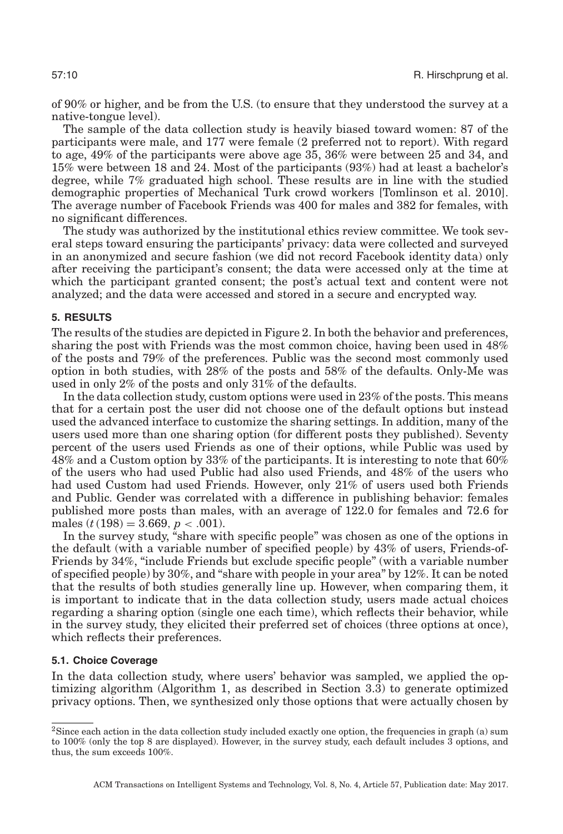of 90% or higher, and be from the U.S. (to ensure that they understood the survey at a native-tongue level).

The sample of the data collection study is heavily biased toward women: 87 of the participants were male, and 177 were female (2 preferred not to report). With regard to age, 49% of the participants were above age 35, 36% were between 25 and 34, and 15% were between 18 and 24. Most of the participants (93%) had at least a bachelor's degree, while 7% graduated high school. These results are in line with the studied demographic properties of Mechanical Turk crowd workers [\[Tomlinson et al. 2010\]](#page-20-17). The average number of Facebook Friends was 400 for males and 382 for females, with no significant differences.

The study was authorized by the institutional ethics review committee. We took several steps toward ensuring the participants' privacy: data were collected and surveyed in an anonymized and secure fashion (we did not record Facebook identity data) only after receiving the participant's consent; the data were accessed only at the time at which the participant granted consent; the post's actual text and content were not analyzed; and the data were accessed and stored in a secure and encrypted way.

#### **5. RESULTS**

The results of the studies are depicted in Figure [2.](#page-10-0) In both the behavior and preferences, sharing the post with Friends was the most common choice, having been used in 48% of the posts and 79% of the preferences. Public was the second most commonly used option in both studies, with 28% of the posts and 58% of the defaults. Only-Me was used in only 2% of the posts and only 31% of the defaults.

In the data collection study, custom options were used in 23% of the posts. This means that for a certain post the user did not choose one of the default options but instead used the advanced interface to customize the sharing settings. In addition, many of the users used more than one sharing option (for different posts they published). Seventy percent of the users used Friends as one of their options, while Public was used by 48% and a Custom option by 33% of the participants. It is interesting to note that 60% of the users who had used Public had also used Friends, and 48% of the users who had used Custom had used Friends. However, only 21% of users used both Friends and Public. Gender was correlated with a difference in publishing behavior: females published more posts than males, with an average of 122.0 for females and 72.6 for males  $(t(198) = 3.669, p < .001)$ .

In the survey study, "share with specific people" was chosen as one of the options in the default (with a variable number of specified people) by 43% of users, Friends-of-Friends by 34%, "include Friends but exclude specific people" (with a variable number of specified people) by 30%, and "share with people in your area" by 12%. It can be noted that the results of both studies generally line up. However, when comparing them, it is important to indicate that in the data collection study, users made actual choices regarding a sharing option (single one each time), which reflects their behavior, while in the survey study, they elicited their preferred set of choices (three options at once), which reflects their preferences.

#### **5.1. Choice Coverage**

In the data collection study, where users' behavior was sampled, we applied the optimizing algorithm (Algorithm 1, as described in Section 3.3) to generate optimized privacy options. Then, we synthesized only those options that were actually chosen by

<sup>2</sup>Since each action in the data collection study included exactly one option, the frequencies in graph (a) sum to 100% (only the top 8 are displayed). However, in the survey study, each default includes 3 options, and thus, the sum exceeds 100%.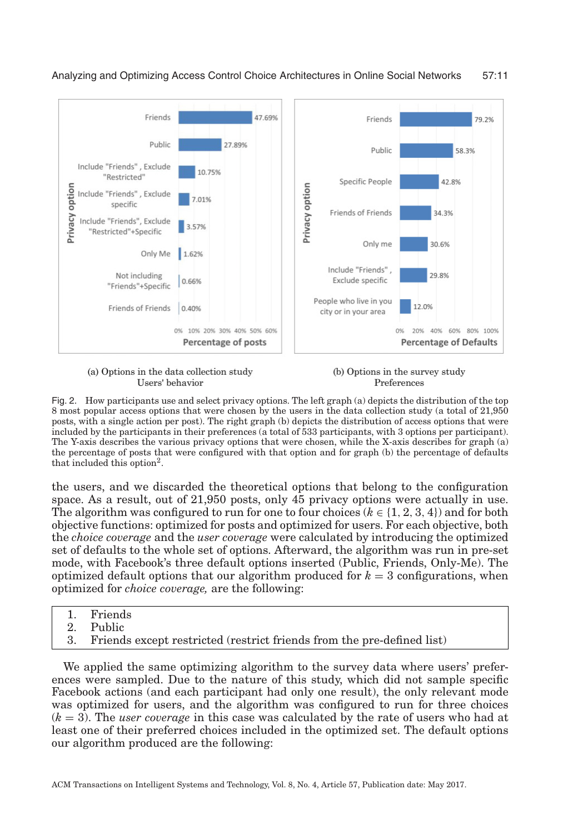<span id="page-10-0"></span>

(a) Options in the data collection study Users' behavior

(b) Options in the survey study Preferences

Fig. 2. How participants use and select privacy options. The left graph (a) depicts the distribution of the top 8 most popular access options that were chosen by the users in the data collection study (a total of 21,950 posts, with a single action per post). The right graph (b) depicts the distribution of access options that were included by the participants in their preferences (a total of 533 participants, with 3 options per participant). The Y-axis describes the various privacy options that were chosen, while the X-axis describes for graph (a) the percentage of posts that were configured with that option and for graph (b) the percentage of defaults that included this option<sup>2</sup>.

the users, and we discarded the theoretical options that belong to the configuration space. As a result, out of 21,950 posts, only 45 privacy options were actually in use. The algorithm was configured to run for one to four choices ( $k \in \{1, 2, 3, 4\}$ ) and for both objective functions: optimized for posts and optimized for users. For each objective, both the *choice coverage* and the *user coverage* were calculated by introducing the optimized set of defaults to the whole set of options. Afterward, the algorithm was run in pre-set mode, with Facebook's three default options inserted (Public, Friends, Only-Me). The optimized default options that our algorithm produced for  $k = 3$  configurations, when optimized for *choice coverage,* are the following:

- 1. Friends
- 2. Public
- 3. Friends except restricted (restrict friends from the pre-defined list)

We applied the same optimizing algorithm to the survey data where users' preferences were sampled. Due to the nature of this study, which did not sample specific Facebook actions (and each participant had only one result), the only relevant mode was optimized for users, and the algorithm was configured to run for three choices (*k* = 3). The *user coverage* in this case was calculated by the rate of users who had at least one of their preferred choices included in the optimized set. The default options our algorithm produced are the following: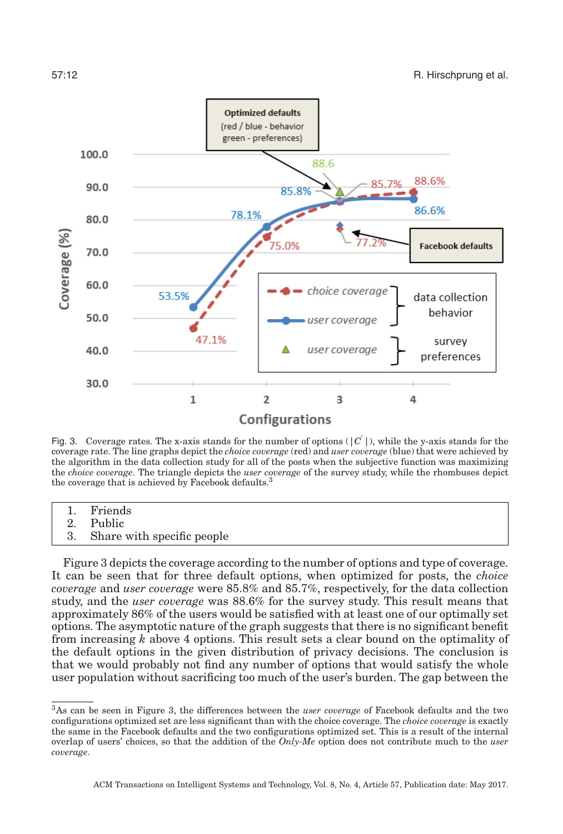<span id="page-11-1"></span>

Fig. 3. Coverage rates. The x-axis stands for the number of options  $(|C|)$ , while the y-axis stands for the coverage rate. The line graphs depict the *choice coverage* (red) and *user coverage* (blue) that were achieved by the algorithm in the data collection study for all of the posts when the subjective function was maximizing the *choice coverage*. The triangle depicts the *user coverage* of the survey study, while the rhombuses depict the coverage that is achieved by Facebook defaults.<sup>3</sup>

- 1. Friends
- 2. Public
- 3. Share with specific people

Figure [3](#page-11-1) depicts the coverage according to the number of options and type of coverage. It can be seen that for three default options, when optimized for posts, the *choice coverage* and *user coverage* were 85.8% and 85.7%, respectively, for the data collection study, and the *user coverage* was 88.6% for the survey study. This result means that approximately 86% of the users would be satisfied with at least one of our optimally set options. The asymptotic nature of the graph suggests that there is no significant benefit from increasing *k* above 4 options. This result sets a clear bound on the optimality of the default options in the given distribution of privacy decisions. The conclusion is that we would probably not find any number of options that would satisfy the whole user population without sacrificing too much of the user's burden. The gap between the

<span id="page-11-0"></span><sup>3</sup>As can be seen in Figure 3, the differences between the *user coverage* of Facebook defaults and the two configurations optimized set are less significant than with the choice coverage. The *choice coverage* is exactly the same in the Facebook defaults and the two configurations optimized set. This is a result of the internal overlap of users' choices, so that the addition of the *Only-Me* option does not contribute much to the *user coverage*.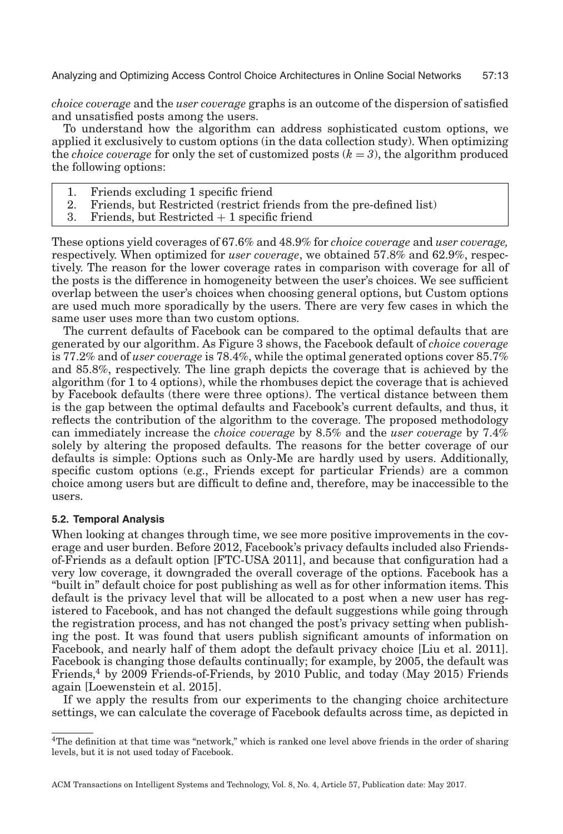*choice coverage* and the *user coverage* graphs is an outcome of the dispersion of satisfied and unsatisfied posts among the users.

To understand how the algorithm can address sophisticated custom options, we applied it exclusively to custom options (in the data collection study). When optimizing the *choice coverage* for only the set of customized posts  $(k = 3)$ , the algorithm produced the following options:

- 1. Friends excluding 1 specific friend
- 2. Friends, but Restricted (restrict friends from the pre-defined list)
- 3. Friends, but Restricted  $+1$  specific friend

These options yield coverages of 67.6% and 48.9% for *choice coverage* and *user coverage,* respectively. When optimized for *user coverage*, we obtained 57.8% and 62.9%, respectively. The reason for the lower coverage rates in comparison with coverage for all of the posts is the difference in homogeneity between the user's choices. We see sufficient overlap between the user's choices when choosing general options, but Custom options are used much more sporadically by the users. There are very few cases in which the same user uses more than two custom options.

The current defaults of Facebook can be compared to the optimal defaults that are generated by our algorithm. As Figure [3](#page-11-1) shows, the Facebook default of *choice coverage* is 77.2% and of *user coverage* is 78.4%, while the optimal generated options cover 85.7% and 85.8%, respectively. The line graph depicts the coverage that is achieved by the algorithm (for 1 to 4 options), while the rhombuses depict the coverage that is achieved by Facebook defaults (there were three options). The vertical distance between them is the gap between the optimal defaults and Facebook's current defaults, and thus, it reflects the contribution of the algorithm to the coverage. The proposed methodology can immediately increase the *choice coverage* by 8.5% and the *user coverage* by 7.4% solely by altering the proposed defaults. The reasons for the better coverage of our defaults is simple: Options such as Only-Me are hardly used by users. Additionally, specific custom options (e.g., Friends except for particular Friends) are a common choice among users but are difficult to define and, therefore, may be inaccessible to the users.

#### **5.2. Temporal Analysis**

When looking at changes through time, we see more positive improvements in the coverage and user burden. Before 2012, Facebook's privacy defaults included also Friendsof-Friends as a default option [\[FTC-USA 2011\]](#page-19-21), and because that configuration had a very low coverage, it downgraded the overall coverage of the options. Facebook has a "built in" default choice for post publishing as well as for other information items. This default is the privacy level that will be allocated to a post when a new user has registered to Facebook, and has not changed the default suggestions while going through the registration process, and has not changed the post's privacy setting when publishing the post. It was found that users publish significant amounts of information on Facebook, and nearly half of them adopt the default privacy choice [\[Liu et al. 2011\]](#page-20-18). Facebook is changing those defaults continually; for example, by 2005, the default was Friends,[4](#page-12-0) by 2009 Friends-of-Friends, by 2010 Public, and today (May 2015) Friends again [Loewenstein et al. 2015].

If we apply the results from our experiments to the changing choice architecture settings, we can calculate the coverage of Facebook defaults across time, as depicted in

<span id="page-12-0"></span><sup>4</sup>The definition at that time was "network," which is ranked one level above friends in the order of sharing levels, but it is not used today of Facebook.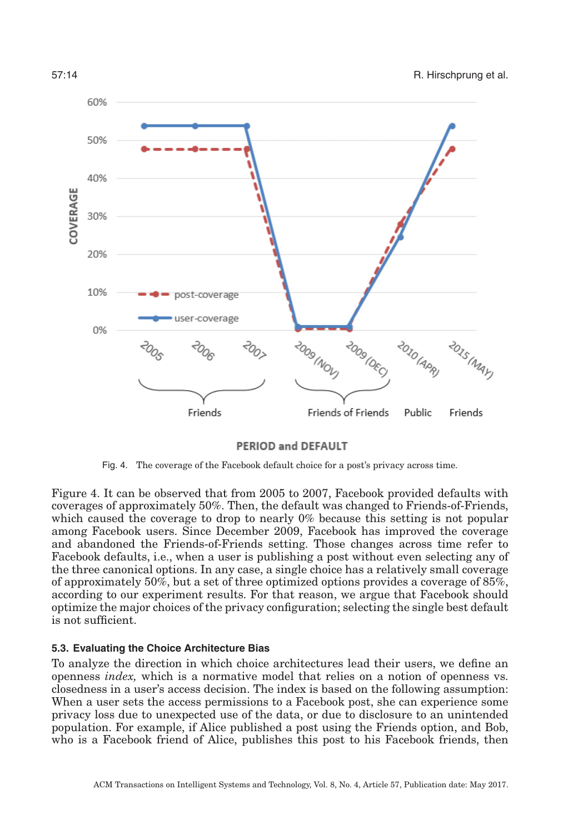<span id="page-13-0"></span>

PERIOD and DEFAULT

Fig. 4. The coverage of the Facebook default choice for a post's privacy across time.

Figure [4.](#page-13-0) It can be observed that from 2005 to 2007, Facebook provided defaults with coverages of approximately 50%. Then, the default was changed to Friends-of-Friends, which caused the coverage to drop to nearly 0% because this setting is not popular among Facebook users. Since December 2009, Facebook has improved the coverage and abandoned the Friends-of-Friends setting. Those changes across time refer to Facebook defaults, i.e., when a user is publishing a post without even selecting any of the three canonical options. In any case, a single choice has a relatively small coverage of approximately 50%, but a set of three optimized options provides a coverage of 85%, according to our experiment results. For that reason, we argue that Facebook should optimize the major choices of the privacy configuration; selecting the single best default is not sufficient.

### **5.3. Evaluating the Choice Architecture Bias**

To analyze the direction in which choice architectures lead their users, we define an openness *index,* which is a normative model that relies on a notion of openness vs. closedness in a user's access decision. The index is based on the following assumption: When a user sets the access permissions to a Facebook post, she can experience some privacy loss due to unexpected use of the data, or due to disclosure to an unintended population. For example, if Alice published a post using the Friends option, and Bob, who is a Facebook friend of Alice, publishes this post to his Facebook friends, then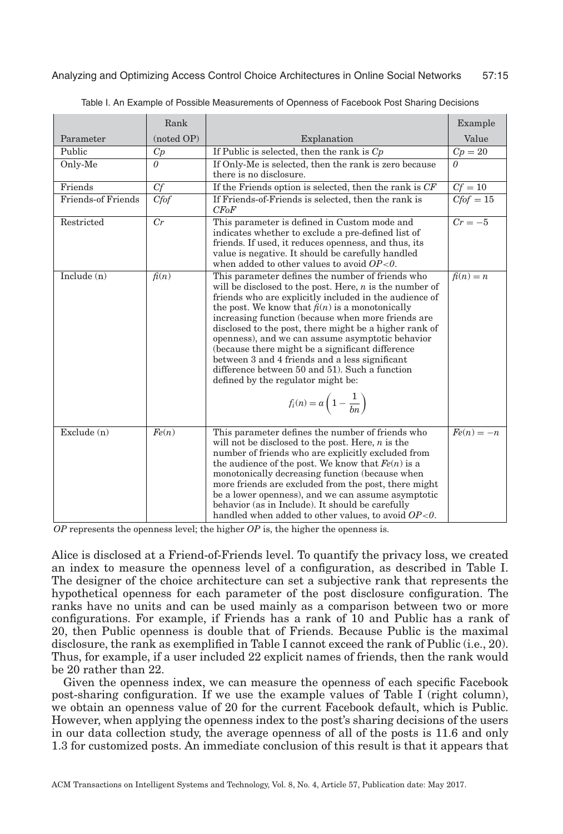<span id="page-14-0"></span>

|                           | Rank       |                                                                                                                                                                                                                                                                                                                                                                                                                                                                                                                                                                                                                                             | Example      |
|---------------------------|------------|---------------------------------------------------------------------------------------------------------------------------------------------------------------------------------------------------------------------------------------------------------------------------------------------------------------------------------------------------------------------------------------------------------------------------------------------------------------------------------------------------------------------------------------------------------------------------------------------------------------------------------------------|--------------|
| Parameter                 | (noted OP) | Explanation                                                                                                                                                                                                                                                                                                                                                                                                                                                                                                                                                                                                                                 | Value        |
| Public                    | Cp         | If Public is selected, then the rank is $C_p$                                                                                                                                                                                                                                                                                                                                                                                                                                                                                                                                                                                               | $Cp=20$      |
| Only-Me                   | $\theta$   | If Only-Me is selected, then the rank is zero because<br>there is no disclosure.                                                                                                                                                                                                                                                                                                                                                                                                                                                                                                                                                            | 0            |
| Friends                   | Cf         | If the Friends option is selected, then the rank is $CF$                                                                                                                                                                                                                                                                                                                                                                                                                                                                                                                                                                                    | $Cf = 10$    |
| <b>Friends-of Friends</b> | Cfof       | If Friends-of-Friends is selected, then the rank is<br>CFoF                                                                                                                                                                                                                                                                                                                                                                                                                                                                                                                                                                                 | $Cfof = 15$  |
| Restricted                | Cr         | This parameter is defined in Custom mode and<br>indicates whether to exclude a pre-defined list of<br>friends. If used, it reduces openness, and thus, its<br>value is negative. It should be carefully handled<br>when added to other values to avoid $OP<0$ .                                                                                                                                                                                                                                                                                                                                                                             | $Cr = -5$    |
| Include $(n)$             | f(n)       | This parameter defines the number of friends who<br>will be disclosed to the post. Here, $n$ is the number of<br>friends who are explicitly included in the audience of<br>the post. We know that $f(n)$ is a monotonically<br>increasing function (because when more friends are<br>disclosed to the post, there might be a higher rank of<br>openness), and we can assume asymptotic behavior<br>(because there might be a significant difference)<br>between 3 and 4 friends and a less significant<br>difference between 50 and 51). Such a function<br>defined by the regulator might be:<br>$f_i(n) = a\left(1 - \frac{1}{bn}\right)$ | $f(n) = n$   |
| Exclude $(n)$             | Fe(n)      | This parameter defines the number of friends who<br>will not be disclosed to the post. Here, $n$ is the<br>number of friends who are explicitly excluded from<br>the audience of the post. We know that $Fe(n)$ is a<br>monotonically decreasing function (because when<br>more friends are excluded from the post, there might<br>be a lower openness), and we can assume asymptotic<br>behavior (as in Include). It should be carefully<br>handled when added to other values, to avoid $OP<0$ .                                                                                                                                          | $Fe(n) = -n$ |

Table I. An Example of Possible Measurements of Openness of Facebook Post Sharing Decisions

*OP* represents the openness level; the higher *OP* is, the higher the openness is.

Alice is disclosed at a Friend-of-Friends level. To quantify the privacy loss, we created an index to measure the openness level of a configuration, as described in Table [I.](#page-14-0) The designer of the choice architecture can set a subjective rank that represents the hypothetical openness for each parameter of the post disclosure configuration. The ranks have no units and can be used mainly as a comparison between two or more configurations. For example, if Friends has a rank of 10 and Public has a rank of 20, then Public openness is double that of Friends. Because Public is the maximal disclosure, the rank as exemplified in Table [I](#page-14-0) cannot exceed the rank of Public (i.e., 20). Thus, for example, if a user included 22 explicit names of friends, then the rank would be 20 rather than 22.

Given the openness index, we can measure the openness of each specific Facebook post-sharing configuration. If we use the example values of Table [I](#page-14-0) (right column), we obtain an openness value of 20 for the current Facebook default, which is Public. However, when applying the openness index to the post's sharing decisions of the users in our data collection study, the average openness of all of the posts is 11.6 and only 1.3 for customized posts. An immediate conclusion of this result is that it appears that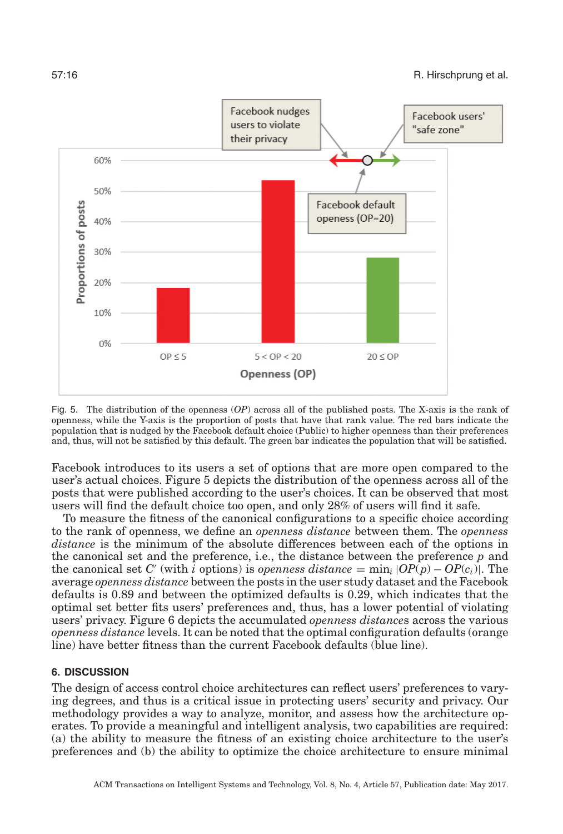<span id="page-15-0"></span>

Fig. 5. The distribution of the openness (*OP*) across all of the published posts. The X-axis is the rank of openness, while the Y-axis is the proportion of posts that have that rank value. The red bars indicate the population that is nudged by the Facebook default choice (Public) to higher openness than their preferences and, thus, will not be satisfied by this default. The green bar indicates the population that will be satisfied.

Facebook introduces to its users a set of options that are more open compared to the user's actual choices. Figure [5](#page-15-0) depicts the distribution of the openness across all of the posts that were published according to the user's choices. It can be observed that most users will find the default choice too open, and only 28% of users will find it safe.

To measure the fitness of the canonical configurations to a specific choice according to the rank of openness, we define an *openness distance* between them. The *openness distance* is the minimum of the absolute differences between each of the options in the canonical set and the preference, i.e., the distance between the preference *p* and the canonical set *C'* (with *i* options) is *openness distance* =  $\min_i |OP(p) - OP(c_i)|$ . The average *openness distance* between the posts in the user study dataset and the Facebook defaults is 0.89 and between the optimized defaults is 0.29, which indicates that the optimal set better fits users' preferences and, thus, has a lower potential of violating users' privacy. Figure [6](#page-16-0) depicts the accumulated *openness distance*s across the various *openness distance* levels. It can be noted that the optimal configuration defaults (orange line) have better fitness than the current Facebook defaults (blue line).

#### **6. DISCUSSION**

The design of access control choice architectures can reflect users' preferences to varying degrees, and thus is a critical issue in protecting users' security and privacy. Our methodology provides a way to analyze, monitor, and assess how the architecture operates. To provide a meaningful and intelligent analysis, two capabilities are required: (a) the ability to measure the fitness of an existing choice architecture to the user's preferences and (b) the ability to optimize the choice architecture to ensure minimal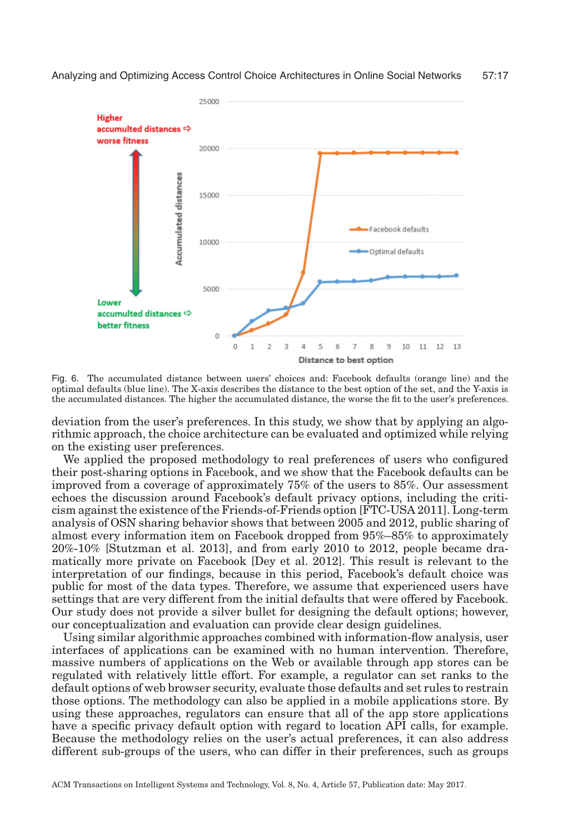<span id="page-16-0"></span>

Fig. 6. The accumulated distance between users' choices and: Facebook defaults (orange line) and the optimal defaults (blue line). The X-axis describes the distance to the best option of the set, and the Y-axis is the accumulated distances. The higher the accumulated distance, the worse the fit to the user's preferences.

deviation from the user's preferences. In this study, we show that by applying an algorithmic approach, the choice architecture can be evaluated and optimized while relying on the existing user preferences.

We applied the proposed methodology to real preferences of users who configured their post-sharing options in Facebook, and we show that the Facebook defaults can be improved from a coverage of approximately 75% of the users to 85%. Our assessment echoes the discussion around Facebook's default privacy options, including the criticism against the existence of the Friends-of-Friends option [\[FTC-USA 2011\]](#page-19-21). Long-term analysis of OSN sharing behavior shows that between 2005 and 2012, public sharing of almost every information item on Facebook dropped from 95%–85% to approximately 20%-10% [\[Stutzman et al. 2013\]](#page-20-3), and from early 2010 to 2012, people became dramatically more private on Facebook [\[Dey et al. 2012\]](#page-19-22). This result is relevant to the interpretation of our findings, because in this period, Facebook's default choice was public for most of the data types. Therefore, we assume that experienced users have settings that are very different from the initial defaults that were offered by Facebook. Our study does not provide a silver bullet for designing the default options; however, our conceptualization and evaluation can provide clear design guidelines.

Using similar algorithmic approaches combined with information-flow analysis, user interfaces of applications can be examined with no human intervention. Therefore, massive numbers of applications on the Web or available through app stores can be regulated with relatively little effort. For example, a regulator can set ranks to the default options of web browser security, evaluate those defaults and set rules to restrain those options. The methodology can also be applied in a mobile applications store. By using these approaches, regulators can ensure that all of the app store applications have a specific privacy default option with regard to location API calls, for example. Because the methodology relies on the user's actual preferences, it can also address different sub-groups of the users, who can differ in their preferences, such as groups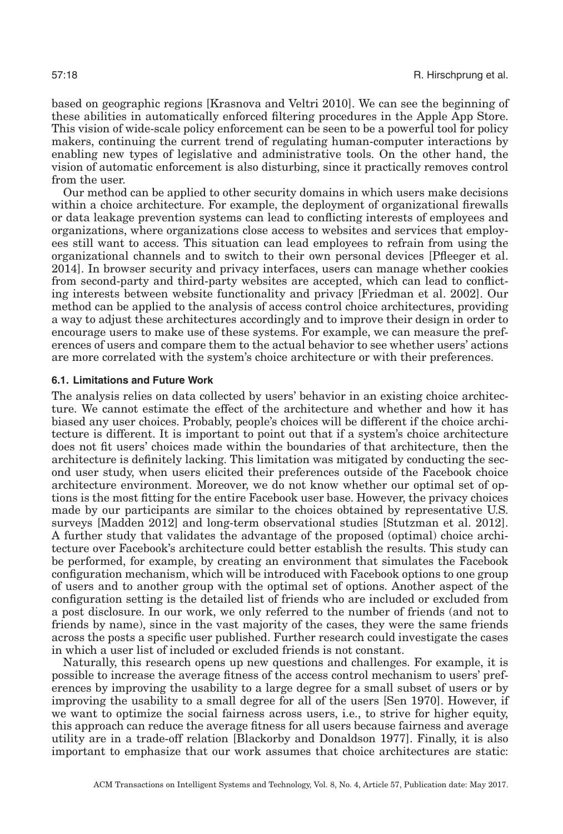based on geographic regions [\[Krasnova and Veltri 2010\]](#page-20-19). We can see the beginning of these abilities in automatically enforced filtering procedures in the Apple App Store. This vision of wide-scale policy enforcement can be seen to be a powerful tool for policy makers, continuing the current trend of regulating human-computer interactions by enabling new types of legislative and administrative tools. On the other hand, the vision of automatic enforcement is also disturbing, since it practically removes control from the user.

Our method can be applied to other security domains in which users make decisions within a choice architecture. For example, the deployment of organizational firewalls or data leakage prevention systems can lead to conflicting interests of employees and organizations, where organizations close access to websites and services that employees still want to access. This situation can lead employees to refrain from using the organizational channels and to switch to their own personal devices [\[Pfleeger et al.](#page-20-6) [2014\]](#page-20-6). In browser security and privacy interfaces, users can manage whether cookies from second-party and third-party websites are accepted, which can lead to conflicting interests between website functionality and privacy [\[Friedman et al. 2002\]](#page-19-2). Our method can be applied to the analysis of access control choice architectures, providing a way to adjust these architectures accordingly and to improve their design in order to encourage users to make use of these systems. For example, we can measure the preferences of users and compare them to the actual behavior to see whether users' actions are more correlated with the system's choice architecture or with their preferences.

#### **6.1. Limitations and Future Work**

The analysis relies on data collected by users' behavior in an existing choice architecture. We cannot estimate the effect of the architecture and whether and how it has biased any user choices. Probably, people's choices will be different if the choice architecture is different. It is important to point out that if a system's choice architecture does not fit users' choices made within the boundaries of that architecture, then the architecture is definitely lacking. This limitation was mitigated by conducting the second user study, when users elicited their preferences outside of the Facebook choice architecture environment. Moreover, we do not know whether our optimal set of options is the most fitting for the entire Facebook user base. However, the privacy choices made by our participants are similar to the choices obtained by representative U.S. surveys [\[Madden 2012\]](#page-20-20) and long-term observational studies [\[Stutzman et al. 2012\]](#page-20-21). A further study that validates the advantage of the proposed (optimal) choice architecture over Facebook's architecture could better establish the results. This study can be performed, for example, by creating an environment that simulates the Facebook configuration mechanism, which will be introduced with Facebook options to one group of users and to another group with the optimal set of options. Another aspect of the configuration setting is the detailed list of friends who are included or excluded from a post disclosure. In our work, we only referred to the number of friends (and not to friends by name), since in the vast majority of the cases, they were the same friends across the posts a specific user published. Further research could investigate the cases in which a user list of included or excluded friends is not constant.

Naturally, this research opens up new questions and challenges. For example, it is possible to increase the average fitness of the access control mechanism to users' preferences by improving the usability to a large degree for a small subset of users or by improving the usability to a small degree for all of the users [Sen 1970]. However, if we want to optimize the social fairness across users, i.e., to strive for higher equity, this approach can reduce the average fitness for all users because fairness and average utility are in a trade-off relation [\[Blackorby and Donaldson 1977\]](#page-18-5). Finally, it is also important to emphasize that our work assumes that choice architectures are static: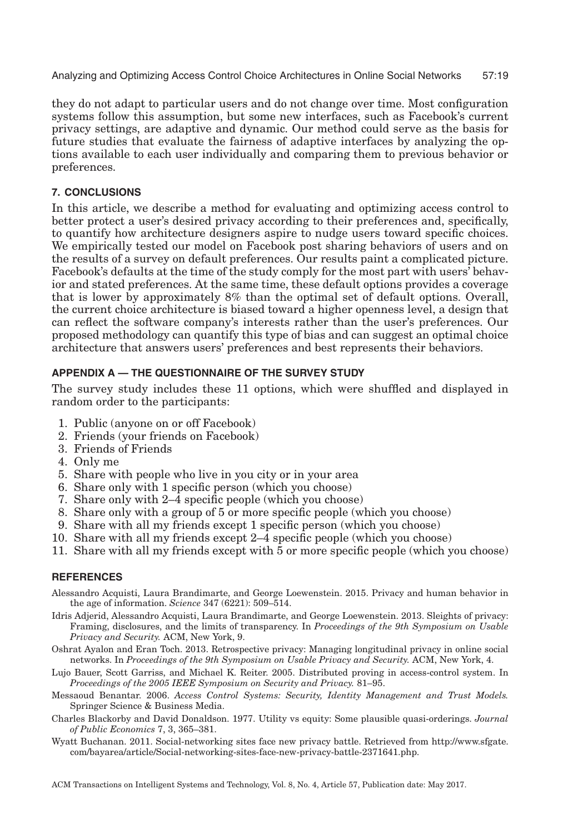they do not adapt to particular users and do not change over time. Most configuration systems follow this assumption, but some new interfaces, such as Facebook's current privacy settings, are adaptive and dynamic. Our method could serve as the basis for future studies that evaluate the fairness of adaptive interfaces by analyzing the options available to each user individually and comparing them to previous behavior or preferences.

## **7. CONCLUSIONS**

In this article, we describe a method for evaluating and optimizing access control to better protect a user's desired privacy according to their preferences and, specifically, to quantify how architecture designers aspire to nudge users toward specific choices. We empirically tested our model on Facebook post sharing behaviors of users and on the results of a survey on default preferences. Our results paint a complicated picture. Facebook's defaults at the time of the study comply for the most part with users' behavior and stated preferences. At the same time, these default options provides a coverage that is lower by approximately 8% than the optimal set of default options. Overall, the current choice architecture is biased toward a higher openness level, a design that can reflect the software company's interests rather than the user's preferences. Our proposed methodology can quantify this type of bias and can suggest an optimal choice architecture that answers users' preferences and best represents their behaviors.

## **APPENDIX A — THE QUESTIONNAIRE OF THE SURVEY STUDY**

The survey study includes these 11 options, which were shuffled and displayed in random order to the participants:

- 1. Public (anyone on or off Facebook)
- 2. Friends (your friends on Facebook)
- 3. Friends of Friends
- 4. Only me
- 5. Share with people who live in you city or in your area
- 6. Share only with 1 specific person (which you choose)
- 7. Share only with 2–4 specific people (which you choose)
- 8. Share only with a group of 5 or more specific people (which you choose)
- 9. Share with all my friends except 1 specific person (which you choose)
- 10. Share with all my friends except 2–4 specific people (which you choose)
- 11. Share with all my friends except with 5 or more specific people (which you choose)

#### **REFERENCES**

- Alessandro Acquisti, Laura Brandimarte, and George Loewenstein. 2015. Privacy and human behavior in the age of information. *Science* 347 (6221): 509–514.
- <span id="page-18-1"></span>Idris Adjerid, Alessandro Acquisti, Laura Brandimarte, and George Loewenstein. 2013. Sleights of privacy: Framing, disclosures, and the limits of transparency. In *Proceedings of the 9th Symposium on Usable Privacy and Security.* ACM, New York, 9.
- <span id="page-18-4"></span>Oshrat Ayalon and Eran Toch. 2013. Retrospective privacy: Managing longitudinal privacy in online social networks. In *Proceedings of the 9th Symposium on Usable Privacy and Security.* ACM, New York, 4.
- <span id="page-18-3"></span>Lujo Bauer, Scott Garriss, and Michael K. Reiter. 2005. Distributed proving in access-control system. In *Proceedings of the 2005 IEEE Symposium on Security and Privacy.* 81–95.
- <span id="page-18-0"></span>Messaoud Benantar. 2006. *Access Control Systems: Security, Identity Management and Trust Models.* Springer Science & Business Media.
- <span id="page-18-5"></span>Charles Blackorby and David Donaldson. 1977. Utility vs equity: Some plausible quasi-orderings. *Journal of Public Economics* 7, 3, 365–381.
- <span id="page-18-2"></span>Wyatt Buchanan. 2011. Social-networking sites face new privacy battle. Retrieved from http://www.sfgate. com/bayarea/article/Social-networking-sites-face-new-privacy-battle-2371641.php.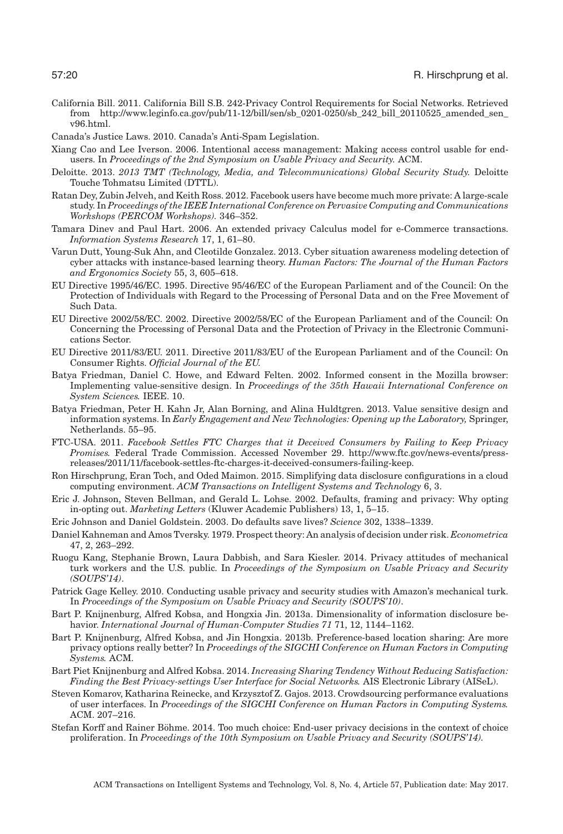- <span id="page-19-5"></span>California Bill. 2011. California Bill S.B. 242-Privacy Control Requirements for Social Networks. Retrieved from http://www.leginfo.ca.gov/pub/11-12/bill/sen/sb\_0201-0250/sb\_242\_bill\_20110525\_amended\_sen\_ v96.html.
- <span id="page-19-15"></span>Canada's Justice Laws. 2010. Canada's Anti-Spam Legislation.
- <span id="page-19-8"></span>Xiang Cao and Lee Iverson. 2006. Intentional access management: Making access control usable for endusers. In *Proceedings of the 2nd Symposium on Usable Privacy and Security.* ACM.
- <span id="page-19-1"></span>Deloitte. 2013. *2013 TMT (Technology, Media, and Telecommunications) Global Security Study.* Deloitte Touche Tohmatsu Limited (DTTL).
- <span id="page-19-22"></span>Ratan Dey, Zubin Jelveh, and Keith Ross. 2012. Facebook users have become much more private: A large-scale study. In *Proceedings of the IEEE International Conference on Pervasive Computing and Communications Workshops (PERCOM Workshops).* 346–352.
- <span id="page-19-9"></span>Tamara Dinev and Paul Hart. 2006. An extended privacy Calculus model for e-Commerce transactions. *Information Systems Research* 17, 1, 61–80.
- <span id="page-19-0"></span>Varun Dutt, Young-Suk Ahn, and Cleotilde Gonzalez. 2013. Cyber situation awareness modeling detection of cyber attacks with instance-based learning theory. *Human Factors: The Journal of the Human Factors and Ergonomics Society* 55, 3, 605–618.
- <span id="page-19-17"></span>EU Directive 1995/46/EC. 1995. Directive 95/46/EC of the European Parliament and of the Council: On the Protection of Individuals with Regard to the Processing of Personal Data and on the Free Movement of Such Data.
- <span id="page-19-6"></span>EU Directive 2002/58/EC. 2002. Directive 2002/58/EC of the European Parliament and of the Council: On Concerning the Processing of Personal Data and the Protection of Privacy in the Electronic Communications Sector.
- <span id="page-19-16"></span>EU Directive 2011/83/EU. 2011. Directive 2011/83/EU of the European Parliament and of the Council: On Consumer Rights. *Official Journal of the EU.*
- <span id="page-19-2"></span>Batya Friedman, Daniel C. Howe, and Edward Felten. 2002. Informed consent in the Mozilla browser: Implementing value-sensitive design. In *Proceedings of the 35th Hawaii International Conference on System Sciences.* IEEE. 10.
- <span id="page-19-7"></span>Batya Friedman, Peter H. Kahn Jr, Alan Borning, and Alina Huldtgren. 2013. Value sensitive design and information systems. In *Early Engagement and New Technologies: Opening up the Laboratory,* Springer, Netherlands. 55–95.
- <span id="page-19-21"></span>FTC-USA. 2011. *Facebook Settles FTC Charges that it Deceived Consumers by Failing to Keep Privacy Promises.* Federal Trade Commission. Accessed November 29. http://www.ftc.gov/news-events/pressreleases/2011/11/facebook-settles-ftc-charges-it-deceived-consumers-failing-keep.
- <span id="page-19-13"></span>Ron Hirschprung, Eran Toch, and Oded Maimon. 2015. Simplifying data disclosure configurations in a cloud computing environment. *ACM Transactions on Intelligent Systems and Technology* 6, 3.
- <span id="page-19-11"></span>Eric J. Johnson, Steven Bellman, and Gerald L. Lohse. 2002. Defaults, framing and privacy: Why opting in-opting out. *Marketing Letters* (Kluwer Academic Publishers) 13, 1, 5–15.
- <span id="page-19-12"></span>Eric Johnson and Daniel Goldstein. 2003. Do defaults save lives? *Science* 302, 1338–1339.
- <span id="page-19-10"></span>Daniel Kahneman and Amos Tversky. 1979. Prospect theory: An analysis of decision under risk. *Econometrica* 47, 2, 263–292.
- <span id="page-19-20"></span>Ruogu Kang, Stephanie Brown, Laura Dabbish, and Sara Kiesler. 2014. Privacy attitudes of mechanical turk workers and the U.S. public. In *Proceedings of the Symposium on Usable Privacy and Security (SOUPS'14)*.
- <span id="page-19-19"></span>Patrick Gage Kelley. 2010. Conducting usable privacy and security studies with Amazon's mechanical turk. In *Proceedings of the Symposium on Usable Privacy and Security (SOUPS'10)*.
- <span id="page-19-3"></span>Bart P. Knijnenburg, Alfred Kobsa, and Hongxia Jin. 2013a. Dimensionality of information disclosure behavior. *International Journal of Human-Computer Studies 71* 71, 12, 1144–1162.
- Bart P. Knijnenburg, Alfred Kobsa, and Jin Hongxia. 2013b. Preference-based location sharing: Are more privacy options really better? In *Proceedings of the SIGCHI Conference on Human Factors in Computing Systems.* ACM.
- <span id="page-19-14"></span>Bart Piet Knijnenburg and Alfred Kobsa. 2014. *Increasing Sharing Tendency Without Reducing Satisfaction: Finding the Best Privacy-settings User Interface for Social Networks.* AIS Electronic Library (AISeL).
- <span id="page-19-18"></span>Steven Komarov, Katharina Reinecke, and Krzysztof Z. Gajos. 2013. Crowdsourcing performance evaluations of user interfaces. In *Proceedings of the SIGCHI Conference on Human Factors in Computing Systems.* ACM. 207–216.
- <span id="page-19-4"></span>Stefan Korff and Rainer Böhme. 2014. Too much choice: End-user privacy decisions in the context of choice proliferation. In *Proceedings of the 10th Symposium on Usable Privacy and Security (SOUPS'14).*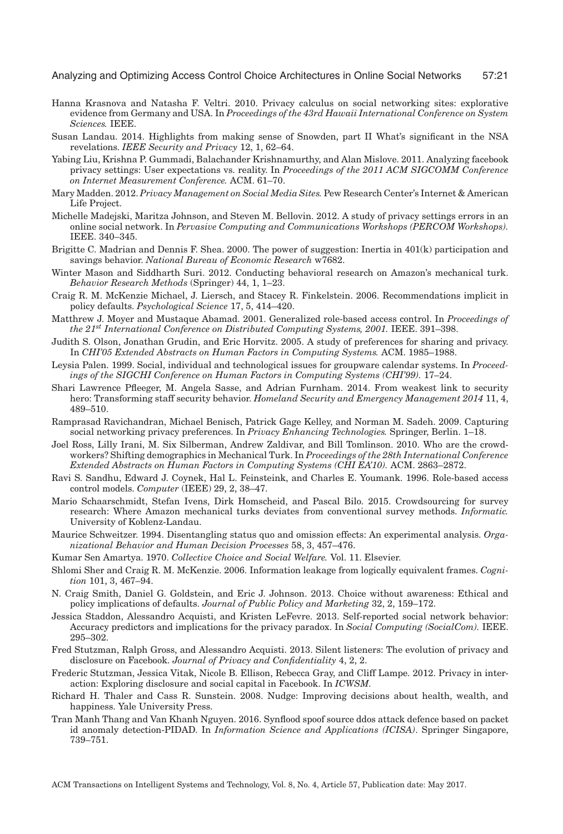- <span id="page-20-19"></span>Hanna Krasnova and Natasha F. Veltri. 2010. Privacy calculus on social networking sites: explorative evidence from Germany and USA. In *Proceedings of the 43rd Hawaii International Conference on System Sciences.* IEEE.
- <span id="page-20-5"></span>Susan Landau. 2014. Highlights from making sense of Snowden, part II What's significant in the NSA revelations. *IEEE Security and Privacy* 12, 1, 62–64.
- <span id="page-20-18"></span>Yabing Liu, Krishna P. Gummadi, Balachander Krishnamurthy, and Alan Mislove. 2011. Analyzing facebook privacy settings: User expectations vs. reality. In *Proceedings of the 2011 ACM SIGCOMM Conference on Internet Measurement Conference.* ACM. 61–70.
- <span id="page-20-20"></span>Mary Madden. 2012. *Privacy Management on Social Media Sites.* Pew Research Center's Internet & American Life Project.
- <span id="page-20-0"></span>Michelle Madejski, Maritza Johnson, and Steven M. Bellovin. 2012. A study of privacy settings errors in an online social network. In *Pervasive Computing and Communications Workshops (PERCOM Workshops).* IEEE. 340–345.
- <span id="page-20-9"></span>Brigitte C. Madrian and Dennis F. Shea. 2000. The power of suggestion: Inertia in 401(k) participation and savings behavior. *National Bureau of Economic Research* w7682.
- <span id="page-20-15"></span>Winter Mason and Siddharth Suri. 2012. Conducting behavioral research on Amazon's mechanical turk. *Behavior Research Methods* (Springer) 44, 1, 1–23.
- Craig R. M. McKenzie Michael, J. Liersch, and Stacey R. Finkelstein. 2006. Recommendations implicit in policy defaults. *Psychological Science* 17, 5, 414–420.
- <span id="page-20-8"></span>Matthrew J. Moyer and Mustaque Abamad. 2001. Generalized role-based access control. In *Proceedings of the 21st International Conference on Distributed Computing Systems, 2001.* IEEE. 391–398.
- <span id="page-20-14"></span>Judith S. Olson, Jonathan Grudin, and Eric Horvitz. 2005. A study of preferences for sharing and privacy. In *CHI'05 Extended Abstracts on Human Factors in Computing Systems.* ACM. 1985–1988.
- <span id="page-20-2"></span>Leysia Palen. 1999. Social, individual and technological issues for groupware calendar systems. In *Proceedings of the SIGCHI Conference on Human Factors in Computing Systems (CHI'99).* 17–24.
- <span id="page-20-6"></span>Shari Lawrence Pfleeger, M. Angela Sasse, and Adrian Furnham. 2014. From weakest link to security hero: Transforming staff security behavior. *Homeland Security and Emergency Management 2014* 11, 4, 489–510.
- <span id="page-20-13"></span>Ramprasad Ravichandran, Michael Benisch, Patrick Gage Kelley, and Norman M. Sadeh. 2009. Capturing social networking privacy preferences. In *Privacy Enhancing Technologies.* Springer, Berlin. 1–18.
- <span id="page-20-17"></span>Joel Ross, Lilly Irani, M. Six Silberman, Andrew Zaldivar, and Bill Tomlinson. 2010. Who are the crowdworkers? Shifting demographics in Mechanical Turk. In *Proceedings of the 28th International Conference Extended Abstracts on Human Factors in Computing Systems (CHI EA'10).* ACM. 2863–2872.
- <span id="page-20-7"></span>Ravi S. Sandhu, Edward J. Coynek, Hal L. Feinsteink, and Charles E. Youmank. 1996. Role-based access control models. *Computer* (IEEE) 29, 2, 38–47.
- <span id="page-20-16"></span>Mario Schaarschmidt, Stefan Ivens, Dirk Homscheid, and Pascal Bilo. 2015. Crowdsourcing for survey research: Where Amazon mechanical turks deviates from conventional survey methods. *Informatic.* University of Koblenz-Landau.
- <span id="page-20-10"></span>Maurice Schweitzer. 1994. Disentangling status quo and omission effects: An experimental analysis. *Organizational Behavior and Human Decision Processes* 58, 3, 457–476.
- Kumar Sen Amartya. 1970. *Collective Choice and Social Welfare.* Vol. 11. Elsevier.
- Shlomi Sher and Craig R. M. McKenzie. 2006. Information leakage from logically equivalent frames. *Cognition* 101, 3, 467–94.
- <span id="page-20-11"></span>N. Craig Smith, Daniel G. Goldstein, and Eric J. Johnson. 2013. Choice without awareness: Ethical and policy implications of defaults. *Journal of Public Policy and Marketing* 32, 2, 159–172.
- <span id="page-20-12"></span>Jessica Staddon, Alessandro Acquisti, and Kristen LeFevre. 2013. Self-reported social network behavior: Accuracy predictors and implications for the privacy paradox. In *Social Computing (SocialCom).* IEEE. 295–302.
- <span id="page-20-3"></span>Fred Stutzman, Ralph Gross, and Alessandro Acquisti. 2013. Silent listeners: The evolution of privacy and disclosure on Facebook. *Journal of Privacy and Confidentiality* 4, 2, 2.
- <span id="page-20-21"></span>Frederic Stutzman, Jessica Vitak, Nicole B. Ellison, Rebecca Gray, and Cliff Lampe. 2012. Privacy in interaction: Exploring disclosure and social capital in Facebook. In *ICWSM.*
- <span id="page-20-1"></span>Richard H. Thaler and Cass R. Sunstein. 2008. Nudge: Improving decisions about health, wealth, and happiness. Yale University Press.
- <span id="page-20-4"></span>Tran Manh Thang and Van Khanh Nguyen. 2016. Synflood spoof source ddos attack defence based on packet id anomaly detection-PIDAD. In *Information Science and Applications (ICISA)*. Springer Singapore, 739–751.